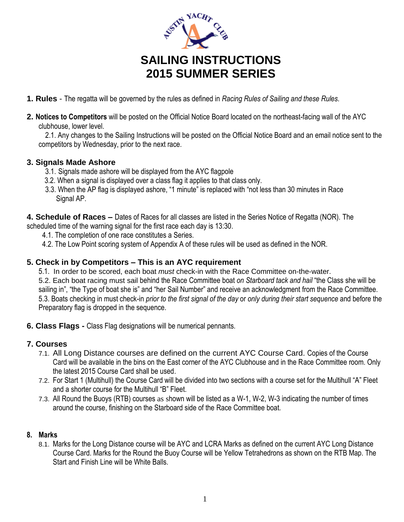

# **SAILING INSTRUCTIONS 2015 SUMMER SERIES**

- **1. Rules** The regatta will be governed by the rules as defined in *Racing Rules of Sailing and these Rules*.
- **2. Notices to Competitors** will be posted on the Official Notice Board located on the northeast-facing wall of the AYC clubhouse, lower level.

2.1. Any changes to the Sailing Instructions will be posted on the Official Notice Board and an email notice sent to the competitors by Wednesday, prior to the next race.

# **3. Signals Made Ashore**

- 3.1. Signals made ashore will be displayed from the AYC flagpole
- 3.2. When a signal is displayed over a class flag it applies to that class only.
- 3.3. When the AP flag is displayed ashore, "1 minute" is replaced with "not less than 30 minutes in Race Signal AP.

**4. Schedule of Races –** Dates of Races for all classes are listed in the Series Notice of Regatta (NOR). The

- scheduled time of the warning signal for the first race each day is 13:30.
	- 4.1. The completion of one race constitutes a Series.
	- 4.2. The Low Point scoring system of Appendix A of these rules will be used as defined in the NOR.

#### **5. Check in by Competitors – This is an AYC requirement**

5.1. In order to be scored, each boat *must* check-in with the Race Committee on-the-water. 5.2. Each boat racing must sail behind the Race Committee boat *on Starboard tack and hail* "the Class she will be sailing in", "the Type of boat she is" and "her Sail Number" and receive an acknowledgment from the Race Committee. 5.3. Boats checking in must check-in *prior to the first signal of the day* or *only during their start sequence* and before the Preparatory flag is dropped in the sequence.

**6. Class Flags -** Class Flag designations will be numerical pennants.

# **7. Courses**

- 7.1. All Long Distance courses are defined on the current AYC Course Card. Copies of the Course Card will be available in the bins on the East corner of the AYC Clubhouse and in the Race Committee room. Only the latest 2015 Course Card shall be used.
- 7.2. For Start 1 (Multihull) the Course Card will be divided into two sections with a course set for the Multihull "A" Fleet and a shorter course for the Multihull "B" Fleet.
- 7.3. All Round the Buoys (RTB) courses as shown will be listed as a W-1, W-2, W-3 indicating the number of times around the course, finishing on the Starboard side of the Race Committee boat.

#### **8. Marks**

8.1. Marks for the Long Distance course will be AYC and LCRA Marks as defined on the current AYC Long Distance Course Card. Marks for the Round the Buoy Course will be Yellow Tetrahedrons as shown on the RTB Map. The Start and Finish Line will be White Balls.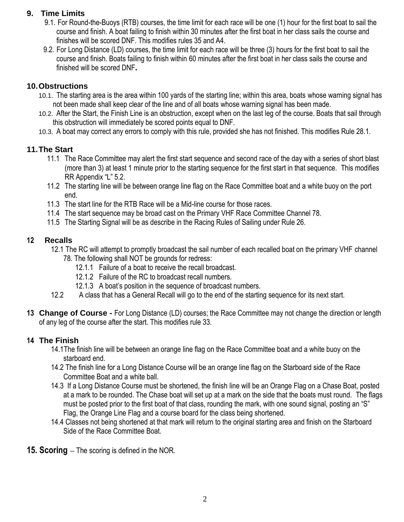#### **9. Time Limits**

- 9.1. For Round-the-Buoys (RTB) courses, the time limit for each race will be one (1) hour for the first boat to sail the course and finish. A boat failing to finish within 30 minutes after the first boat in her class sails the course and finishes will be scored DNF. This modifies rules 35 and A4.
- 9.2. For Long Distance (LD) courses, the time limit for each race will be three (3) hours for the first boat to sail the course and finish. Boats failing to finish within 60 minutes after the first boat in her class sails the course and finished will be scored DNF**.**

#### **10.Obstructions**

- 10.1. The starting area is the area within 100 yards of the starting line; within this area, boats whose warning signal has not been made shall keep clear of the line and of all boats whose warning signal has been made.
- 10.2. After the Start, the Finish Line is an obstruction, except when on the last leg of the course. Boats that sail through this obstruction will immediately be scored points equal to DNF.
- 10.3. A boat may correct any errors to comply with this rule, provided she has not finished. This modifies Rule 28.1.

# **11.The Start**

- 11.1 The Race Committee may alert the first start sequence and second race of the day with a series of short blast (more than 3) at least 1 minute prior to the starting sequence for the first start in that sequence. This modifies RR Appendix "L" 5.2.
- 11.2 The starting line will be between orange line flag on the Race Committee boat and a white buoy on the port end.
- 11.3 The start line for the RTB Race will be a Mid-line course for those races.
- 11.4 The start sequence may be broad cast on the Primary VHF Race Committee Channel 78.
- 11.5 The Starting Signal will be as describe in the Racing Rules of Sailing under Rule 26.

#### **12 Recalls**

- 12.1 The RC will attempt to promptly broadcast the sail number of each recalled boat on the primary VHF channel 78. The following shall NOT be grounds for redress:
	- - 12.1.1 Failure of a boat to receive the recall broadcast.
		- 12.1.2 Failure of the RC to broadcast recall numbers.
		- 12.1.3 A boat's position in the sequence of broadcast numbers.
- 12.2 A class that has a General Recall will go to the end of the starting sequence for its next start.
- **13 Change of Course -** For Long Distance (LD) courses; the Race Committee may not change the direction or length of any leg of the course after the start. This modifies rule 33.

# **14 The Finish**

- 14.1The finish line will be between an orange line flag on the Race Committee boat and a white buoy on the starboard end.
- 14.2 The finish line for a Long Distance Course will be an orange line flag on the Starboard side of the Race Committee Boat and a white ball.
- 14.3 If a Long Distance Course must be shortened, the finish line will be an Orange Flag on a Chase Boat, posted at a mark to be rounded. The Chase boat will set up at a mark on the side that the boats must round. The flags must be posted prior to the first boat of that class, rounding the mark, with one sound signal, posting an "S" Flag, the Orange Line Flag and a course board for the class being shortened.
- 14.4 Classes not being shortened at that mark will return to the original starting area and finish on the Starboard Side of the Race Committee Boat.
- **15. Scoring –** The scoring is defined in the NOR.